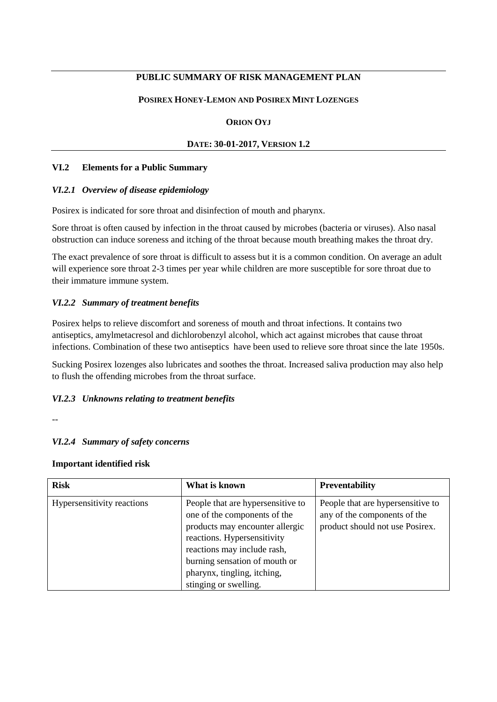# **PUBLIC SUMMARY OF RISK MANAGEMENT PLAN**

### **POSIREX HONEY-LEMON AND POSIREX MINT LOZENGES**

#### **ORION OYJ**

#### **DATE: 30-01-2017, VERSION 1.2**

#### **VI.2 Elements for a Public Summary**

#### *VI.2.1 Overview of disease epidemiology*

Posirex is indicated for sore throat and disinfection of mouth and pharynx.

Sore throat is often caused by infection in the throat caused by microbes (bacteria or viruses). Also nasal obstruction can induce soreness and itching of the throat because mouth breathing makes the throat dry.

The exact prevalence of sore throat is difficult to assess but it is a common condition. On average an adult will experience sore throat 2-3 times per year while children are more susceptible for sore throat due to their immature immune system.

## *VI.2.2 Summary of treatment benefits*

Posirex helps to relieve discomfort and soreness of mouth and throat infections. It contains two antiseptics, amylmetacresol and dichlorobenzyl alcohol, which act against microbes that cause throat infections. Combination of these two antiseptics have been used to relieve sore throat since the late 1950s.

Sucking Posirex lozenges also lubricates and soothes the throat. Increased saliva production may also help to flush the offending microbes from the throat surface.

## *VI.2.3 Unknowns relating to treatment benefits*

--

## *VI.2.4 Summary of safety concerns*

#### **Important identified risk**

| <b>Risk</b>                | What is known                                                                                                                                                                                                                                               | <b>Preventability</b>                                                                                |
|----------------------------|-------------------------------------------------------------------------------------------------------------------------------------------------------------------------------------------------------------------------------------------------------------|------------------------------------------------------------------------------------------------------|
| Hypersensitivity reactions | People that are hypersensitive to<br>one of the components of the<br>products may encounter allergic<br>reactions. Hypersensitivity<br>reactions may include rash,<br>burning sensation of mouth or<br>pharynx, tingling, itching,<br>stinging or swelling. | People that are hypersensitive to<br>any of the components of the<br>product should not use Posirex. |